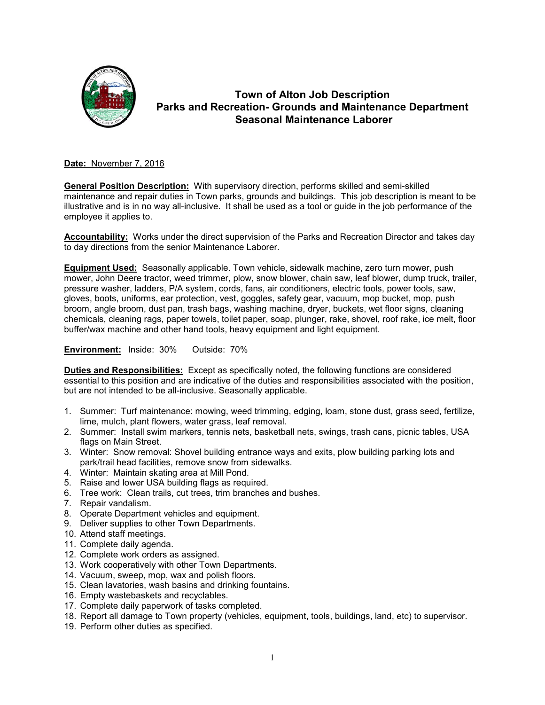

# **Town of Alton Job Description Parks and Recreation- Grounds and Maintenance Department Seasonal Maintenance Laborer**

#### **Date:** November 7, 2016

**General Position Description:** With supervisory direction, performs skilled and semi-skilled maintenance and repair duties in Town parks, grounds and buildings. This job description is meant to be illustrative and is in no way all-inclusive. It shall be used as a tool or guide in the job performance of the employee it applies to.

**Accountability:** Works under the direct supervision of the Parks and Recreation Director and takes day to day directions from the senior Maintenance Laborer.

**Equipment Used:** Seasonally applicable. Town vehicle, sidewalk machine, zero turn mower, push mower, John Deere tractor, weed trimmer, plow, snow blower, chain saw, leaf blower, dump truck, trailer, pressure washer, ladders, P/A system, cords, fans, air conditioners, electric tools, power tools, saw, gloves, boots, uniforms, ear protection, vest, goggles, safety gear, vacuum, mop bucket, mop, push broom, angle broom, dust pan, trash bags, washing machine, dryer, buckets, wet floor signs, cleaning chemicals, cleaning rags, paper towels, toilet paper, soap, plunger, rake, shovel, roof rake, ice melt, floor buffer/wax machine and other hand tools, heavy equipment and light equipment.

**Environment:** Inside: 30% Outside: 70%

**Duties and Responsibilities:** Except as specifically noted, the following functions are considered essential to this position and are indicative of the duties and responsibilities associated with the position, but are not intended to be all-inclusive. Seasonally applicable.

- 1. Summer: Turf maintenance: mowing, weed trimming, edging, loam, stone dust, grass seed, fertilize, lime, mulch, plant flowers, water grass, leaf removal.
- 2. Summer: Install swim markers, tennis nets, basketball nets, swings, trash cans, picnic tables, USA flags on Main Street.
- 3. Winter: Snow removal: Shovel building entrance ways and exits, plow building parking lots and park/trail head facilities, remove snow from sidewalks.
- 4. Winter: Maintain skating area at Mill Pond.
- 5. Raise and lower USA building flags as required.
- 6. Tree work: Clean trails, cut trees, trim branches and bushes.
- 7. Repair vandalism.
- 8. Operate Department vehicles and equipment.
- 9. Deliver supplies to other Town Departments.
- 10. Attend staff meetings.
- 11. Complete daily agenda.
- 12. Complete work orders as assigned.
- 13. Work cooperatively with other Town Departments.
- 14. Vacuum, sweep, mop, wax and polish floors.
- 15. Clean lavatories, wash basins and drinking fountains.
- 16. Empty wastebaskets and recyclables.
- 17. Complete daily paperwork of tasks completed.
- 18. Report all damage to Town property (vehicles, equipment, tools, buildings, land, etc) to supervisor.
- 19. Perform other duties as specified.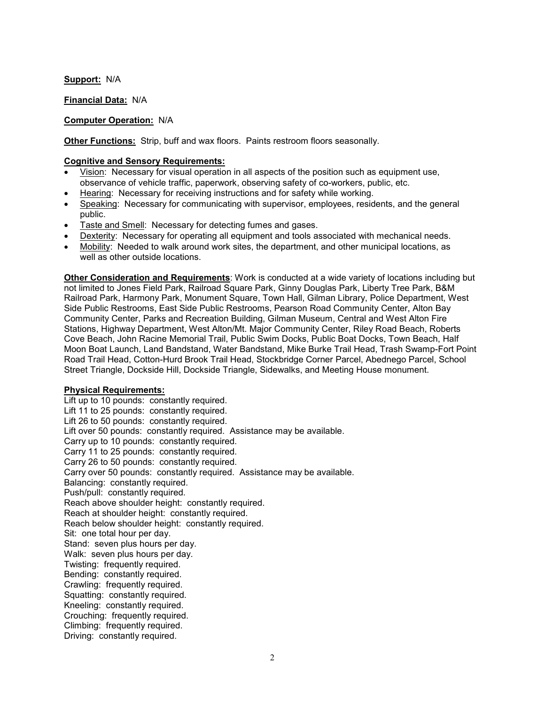**Support:** N/A

**Financial Data:** N/A

# **Computer Operation:** N/A

**Other Functions:** Strip, buff and wax floors. Paints restroom floors seasonally.

### **Cognitive and Sensory Requirements:**

- Vision: Necessary for visual operation in all aspects of the position such as equipment use, observance of vehicle traffic, paperwork, observing safety of co-workers, public, etc.
- Hearing: Necessary for receiving instructions and for safety while working.
- Speaking: Necessary for communicating with supervisor, employees, residents, and the general public.
- Taste and Smell: Necessary for detecting fumes and gases.
- Dexterity: Necessary for operating all equipment and tools associated with mechanical needs.
- Mobility: Needed to walk around work sites, the department, and other municipal locations, as well as other outside locations.

**Other Consideration and Requirements**: Work is conducted at a wide variety of locations including but not limited to Jones Field Park, Railroad Square Park, Ginny Douglas Park, Liberty Tree Park, B&M Railroad Park, Harmony Park, Monument Square, Town Hall, Gilman Library, Police Department, West Side Public Restrooms, East Side Public Restrooms, Pearson Road Community Center, Alton Bay Community Center, Parks and Recreation Building, Gilman Museum, Central and West Alton Fire Stations, Highway Department, West Alton/Mt. Major Community Center, Riley Road Beach, Roberts Cove Beach, John Racine Memorial Trail, Public Swim Docks, Public Boat Docks, Town Beach, Half Moon Boat Launch, Land Bandstand, Water Bandstand, Mike Burke Trail Head, Trash Swamp-Fort Point Road Trail Head, Cotton-Hurd Brook Trail Head, Stockbridge Corner Parcel, Abednego Parcel, School Street Triangle, Dockside Hill, Dockside Triangle, Sidewalks, and Meeting House monument.

### **Physical Requirements:**

Lift up to 10 pounds: constantly required. Lift 11 to 25 pounds: constantly required. Lift 26 to 50 pounds: constantly required. Lift over 50 pounds: constantly required. Assistance may be available. Carry up to 10 pounds: constantly required. Carry 11 to 25 pounds: constantly required. Carry 26 to 50 pounds: constantly required. Carry over 50 pounds: constantly required. Assistance may be available. Balancing: constantly required. Push/pull: constantly required. Reach above shoulder height: constantly required. Reach at shoulder height: constantly required. Reach below shoulder height: constantly required. Sit: one total hour per day. Stand: seven plus hours per day. Walk: seven plus hours per day. Twisting: frequently required. Bending: constantly required. Crawling: frequently required. Squatting: constantly required. Kneeling: constantly required. Crouching: frequently required. Climbing: frequently required. Driving: constantly required.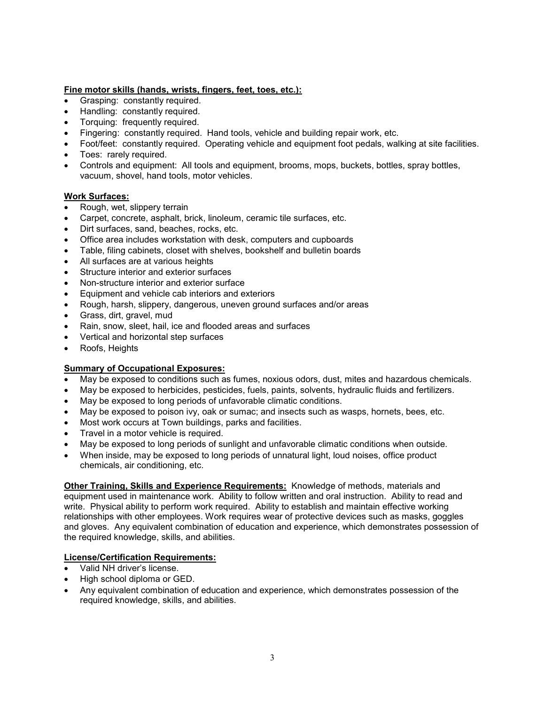#### **Fine motor skills (hands, wrists, fingers, feet, toes, etc.):**

- Grasping: constantly required.
- Handling: constantly required.
- Torquing: frequently required.
- Fingering: constantly required. Hand tools, vehicle and building repair work, etc.
- Foot/feet: constantly required. Operating vehicle and equipment foot pedals, walking at site facilities.
- Toes: rarely required.
- Controls and equipment: All tools and equipment, brooms, mops, buckets, bottles, spray bottles, vacuum, shovel, hand tools, motor vehicles.

#### **Work Surfaces:**

- Rough, wet, slippery terrain
- Carpet, concrete, asphalt, brick, linoleum, ceramic tile surfaces, etc.
- Dirt surfaces, sand, beaches, rocks, etc.
- Office area includes workstation with desk, computers and cupboards
- Table, filing cabinets, closet with shelves, bookshelf and bulletin boards
- All surfaces are at various heights
- Structure interior and exterior surfaces
- Non-structure interior and exterior surface
- Equipment and vehicle cab interiors and exteriors
- Rough, harsh, slippery, dangerous, uneven ground surfaces and/or areas
- Grass, dirt, gravel, mud
- Rain, snow, sleet, hail, ice and flooded areas and surfaces
- Vertical and horizontal step surfaces
- Roofs, Heights

#### **Summary of Occupational Exposures:**

- May be exposed to conditions such as fumes, noxious odors, dust, mites and hazardous chemicals.
- May be exposed to herbicides, pesticides, fuels, paints, solvents, hydraulic fluids and fertilizers.
- May be exposed to long periods of unfavorable climatic conditions.
- May be exposed to poison ivy, oak or sumac; and insects such as wasps, hornets, bees, etc.
- Most work occurs at Town buildings, parks and facilities.
- Travel in a motor vehicle is required.
- May be exposed to long periods of sunlight and unfavorable climatic conditions when outside.
- When inside, may be exposed to long periods of unnatural light, loud noises, office product chemicals, air conditioning, etc.

**Other Training, Skills and Experience Requirements:** Knowledge of methods, materials and equipment used in maintenance work. Ability to follow written and oral instruction. Ability to read and write. Physical ability to perform work required. Ability to establish and maintain effective working relationships with other employees. Work requires wear of protective devices such as masks, goggles and gloves. Any equivalent combination of education and experience, which demonstrates possession of the required knowledge, skills, and abilities.

# **License/Certification Requirements:**

- Valid NH driver's license.
- High school diploma or GED.
- Any equivalent combination of education and experience, which demonstrates possession of the required knowledge, skills, and abilities.